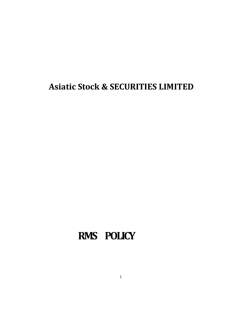**Asiatic Stock & SECURITIES LIMITED**

## **RMS POLICY**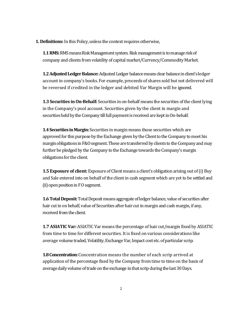**1. Definitions:** In this Policy, unless the context requires otherwise,

**1.1 RMS:**RMS means Risk Management system. Risk management is to manage risk of company and clients from volatility of capital market/Currency/Commodity Market.

**1.2 Adjusted Ledger Balance:**Adjusted Ledger balance means clear balance in client's ledger account in company's books. For example, proceeds of shares sold but not delivered will be reversed if credited in the ledger and debited Var Margin will be ignored.

**1.3 Securities in On-Behalf:**Securities in on-behalf means the securities of the client lying in the Company's pool account. Securities given by the client in margin and securities held by the Company till full payment is received are kept in On-behalf.

**1.4 Securities in Margin:** Securities in margin means those securities which are approved for this purpose by the Exchange given by the Client to the Company to meet his margin obligations in F&O segment. These are transferred by clients to the Company and may further be pledged by the Company to the Exchange towards the Company's margin obligations for the client.

**1.5 Exposure of client:** Exposure of Client means a client's obligation arising out of (i) Buy and Sale entered into on behalf of the client in cash segment which are yet to be settled and (ii) open position in F O segment.

**1.6 Total Deposit:**Total Deposit means aggregate of ledger balance, value of securities after hair cut in on behalf, value of Securities after hair cut in margin and cash margin, if any, received from the client.

**1.7 ASIATIC Var:** ASIATIC Var means the percentage of hair cut/margin fixed by ASIATIC from time to time for different securities. It is fixed on various considerations like average volume traded, Volatility, Exchange Var, Impact cost etc. of particular scrip.

**1.8 Concentration:** Concentration means the number of each scrip arrived at application of the percentage fixed by the Company from time to time on the basis of average daily volume of trade on the exchange in that scrip during the last 30 Days.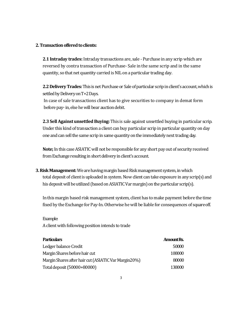## **2. Transaction offered to clients:**

**2.1 Intraday trades:**Intraday transactions are, sale - Purchase in any scrip which are reversed by contra transaction of Purchase- Sale in the same scrip and in the same quantity, so that net quantity carried is NIL on a particular trading day.

**2.2 Delivery Trades:**This is net Purchase or Sale of particular scrip in client's account, whichis settled by Delivery on T+2 Days.

In case of sale transactions client has to give securities to company in demat form before pay-in, else he will bear auction debit.

**2.3 Sell Against unsettled Buying:** This is sale against unsettled buying in particular scrip. Under this kind of transaction a client can buy particular scrip in particular quantity on day one and can sell the same scrip in same quantity on the immediately next trading day.

**Note;** In this case ASIATIC will not be responsible for any short pay out of security received from Exchange resulting in short delivery in client's account.

**3. Risk Management:** We are having margin based Risk management system, inwhich total deposit of client is uploaded in system. Now client can take exposure in any scrip(s) and his deposit will be utilized (based on ASIATIC Var margin) on the particular scrip(s).

In this margin based risk management system, client has to make payment before the time fixed by the Exchange for Pay-In. Otherwise he will be liable for consequences of square off.

## Example:

A client with following position intends to trade

| <b>Particulars</b>                                    | <b>Amount Rs.</b> |
|-------------------------------------------------------|-------------------|
| Ledger balance Credit                                 | 50000             |
| Margin Shares before hair cut                         | 100000            |
| Margin Shares after hair cut (ASIATIC Var Margin 20%) | 80000             |
| Total deposit (50000+80000)                           | 130000            |